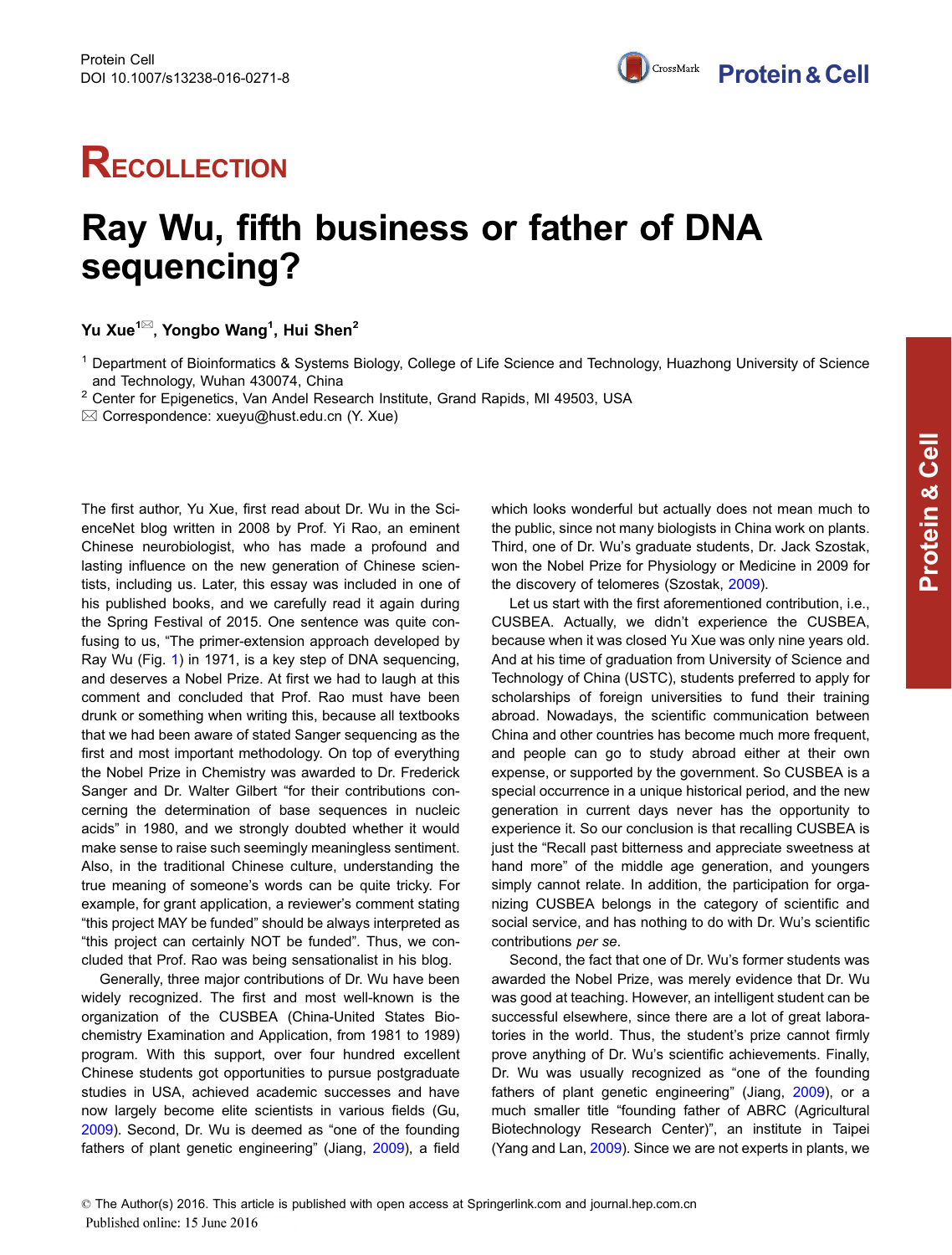

# $\mathbf{R}$ Ray Wu, fifth business or father of DNA sequencing?

## Yu Xue<sup>1⊠</sup>, Yongbo Wang<sup>1</sup>, Hui Shen<sup>2</sup>

<sup>1</sup> Department of Bioinformatics & Systems Biology, College of Life Science and Technology, Huazhong University of Science and Technology, Wuhan 430074, China

<sup>2</sup> Center for Epigenetics, Van Andel Research Institute, Grand Rapids, MI 49503, USA

& Correspondence: xueyu@hust.edu.cn (Y. Xue)

The first author, Yu Xue, first read about Dr. Wu in the ScienceNet blog written in 2008 by Prof. Yi Rao, an eminent Chinese neurobiologist, who has made a profound and lasting influence on the new generation of Chinese scientists, including us. Later, this essay was included in one of his published books, and we carefully read it again during the Spring Festival of 2015. One sentence was quite confusing to us, "The primer-extension approach developed by Ray Wu (Fig. [1\)](#page-1-0) in 1971, is a key step of DNA sequencing, and deserves a Nobel Prize. At first we had to laugh at this comment and concluded that Prof. Rao must have been drunk or something when writing this, because all textbooks that we had been aware of stated Sanger sequencing as the first and most important methodology. On top of everything the Nobel Prize in Chemistry was awarded to Dr. Frederick Sanger and Dr. Walter Gilbert "for their contributions concerning the determination of base sequences in nucleic acids" in 1980, and we strongly doubted whether it would make sense to raise such seemingly meaningless sentiment. Also, in the traditional Chinese culture, understanding the true meaning of someone's words can be quite tricky. For example, for grant application, a reviewer's comment stating "this project MAY be funded" should be always interpreted as "this project can certainly NOT be funded". Thus, we concluded that Prof. Rao was being sensationalist in his blog.

Generally, three major contributions of Dr. Wu have been widely recognized. The first and most well-known is the organization of the CUSBEA (China-United States Biochemistry Examination and Application, from 1981 to 1989) program. With this support, over four hundred excellent Chinese students got opportunities to pursue postgraduate studies in USA, achieved academic successes and have now largely become elite scientists in various fields (Gu, [2009\)](#page-3-0). Second, Dr. Wu is deemed as "one of the founding fathers of plant genetic engineering" (Jiang, [2009](#page-3-0)), a field

which looks wonderful but actually does not mean much to the public, since not many biologists in China work on plants. Third, one of Dr. Wu's graduate students, Dr. Jack Szostak, won the Nobel Prize for Physiology or Medicine in 2009 for the discovery of telomeres (Szostak, [2009\)](#page-3-0).

Let us start with the first aforementioned contribution, i.e., CUSBEA. Actually, we didn't experience the CUSBEA, because when it was closed Yu Xue was only nine years old. And at his time of graduation from University of Science and Technology of China (USTC), students preferred to apply for scholarships of foreign universities to fund their training abroad. Nowadays, the scientific communication between China and other countries has become much more frequent, and people can go to study abroad either at their own expense, or supported by the government. So CUSBEA is a special occurrence in a unique historical period, and the new generation in current days never has the opportunity to experience it. So our conclusion is that recalling CUSBEA is just the "Recall past bitterness and appreciate sweetness at hand more" of the middle age generation, and youngers simply cannot relate. In addition, the participation for organizing CUSBEA belongs in the category of scientific and social service, and has nothing to do with Dr. Wu's scientific contributions per se.

Second, the fact that one of Dr. Wu's former students was awarded the Nobel Prize, was merely evidence that Dr. Wu was good at teaching. However, an intelligent student can be successful elsewhere, since there are a lot of great laboratories in the world. Thus, the student's prize cannot firmly prove anything of Dr. Wu's scientific achievements. Finally, Dr. Wu was usually recognized as "one of the founding fathers of plant genetic engineering" (Jiang, [2009](#page-3-0)), or a much smaller title "founding father of ABRC (Agricultural Biotechnology Research Center)", an institute in Taipei (Yang and Lan, [2009](#page-3-0)). Since we are not experts in plants, we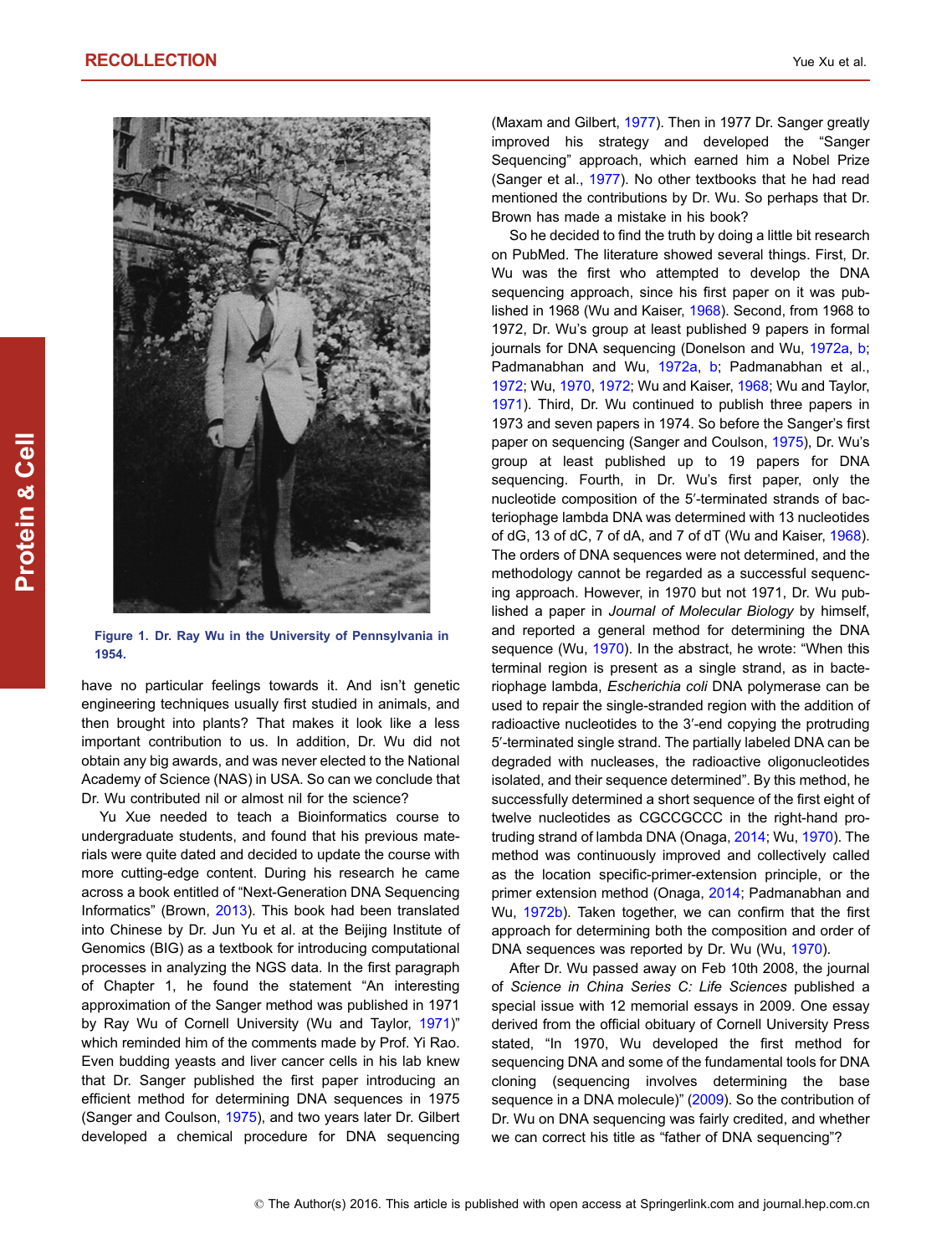<span id="page-1-0"></span>

Figure 1. Dr. Ray Wu in the University of Pennsylvania in

have no particular feelings towards it. And isn't genetic engineering techniques usually first studied in animals, and then brought into plants? That makes it look like a less important contribution to us. In addition, Dr. Wu did not obtain any big awards, and was never elected to the National Academy of Science (NAS) in USA. So can we conclude that Dr. Wu contributed nil or almost nil for the science?

Yu Xue needed to teach a Bioinformatics course to undergraduate students, and found that his previous materials were quite dated and decided to update the course with more cutting-edge content. During his research he came across a book entitled of "Next-Generation DNA Sequencing Informatics" (Brown, [2013\)](#page-3-0). This book had been translated into Chinese by Dr. Jun Yu et al. at the Beijing Institute of Genomics (BIG) as a textbook for introducing computational processes in analyzing the NGS data. In the first paragraph of Chapter 1, he found the statement "An interesting approximation of the Sanger method was published in 1971 by Ray Wu of Cornell University (Wu and Taylor, [1971\)](#page-3-0)" which reminded him of the comments made by Prof. Yi Rao. Even budding yeasts and liver cancer cells in his lab knew that Dr. Sanger published the first paper introducing an efficient method for determining DNA sequences in 1975 (Sanger and Coulson, [1975\)](#page-3-0), and two years later Dr. Gilbert developed a chemical procedure for DNA sequencing

(Maxam and Gilbert, [1977](#page-3-0)). Then in 1977 Dr. Sanger greatly improved his strategy and developed the "Sanger Sequencing" approach, which earned him a Nobel Prize (Sanger et al., [1977](#page-3-0)). No other textbooks that he had read mentioned the contributions by Dr. Wu. So perhaps that Dr. Brown has made a mistake in his book?

So he decided to find the truth by doing a little bit research on PubMed. The literature showed several things. First, Dr. Wu was the first who attempted to develop the DNA sequencing approach, since his first paper on it was published in 1968 (Wu and Kaiser, [1968](#page-3-0)). Second, from 1968 to 1972, Dr. Wu's group at least published 9 papers in formal journals for DNA sequencing (Donelson and Wu, [1972a](#page-3-0), [b;](#page-3-0) Padmanabhan and Wu, [1972a](#page-3-0), [b](#page-3-0); Padmanabhan et al., [1972](#page-3-0); Wu, [1970,](#page-3-0) [1972](#page-3-0); Wu and Kaiser, [1968](#page-3-0); Wu and Taylor, [1971](#page-3-0)). Third, Dr. Wu continued to publish three papers in 1973 and seven papers in 1974. So before the Sanger's first paper on sequencing (Sanger and Coulson, [1975\)](#page-3-0), Dr. Wu's group at least published up to 19 papers for DNA sequencing. Fourth, in Dr. Wu's first paper, only the nucleotide composition of the 5′-terminated strands of bacteriophage lambda DNA was determined with 13 nucleotides of dG, 13 of dC, 7 of dA, and 7 of dT (Wu and Kaiser, [1968\)](#page-3-0). The orders of DNA sequences were not determined, and the methodology cannot be regarded as a successful sequencing approach. However, in 1970 but not 1971, Dr. Wu published a paper in Journal of Molecular Biology by himself, and reported a general method for determining the DNA sequence (Wu, [1970\)](#page-3-0). In the abstract, he wrote: "When this terminal region is present as a single strand, as in bacteriophage lambda, Escherichia coli DNA polymerase can be used to repair the single-stranded region with the addition of radioactive nucleotides to the 3′-end copying the protruding 5′-terminated single strand. The partially labeled DNA can be degraded with nucleases, the radioactive oligonucleotides isolated, and their sequence determined". By this method, he successfully determined a short sequence of the first eight of twelve nucleotides as CGCCGCCC in the right-hand protruding strand of lambda DNA (Onaga, [2014](#page-3-0); Wu, [1970](#page-3-0)). The method was continuously improved and collectively called as the location specific-primer-extension principle, or the primer extension method (Onaga, [2014](#page-3-0); Padmanabhan and Wu, [1972b](#page-3-0)). Taken together, we can confirm that the first approach for determining both the composition and order of DNA sequences was reported by Dr. Wu (Wu, [1970\)](#page-3-0).

After Dr. Wu passed away on Feb 10th 2008, the journal of Science in China Series C: Life Sciences published a special issue with 12 memorial essays in 2009. One essay derived from the official obituary of Cornell University Press stated, "In 1970, Wu developed the first method for sequencing DNA and some of the fundamental tools for DNA cloning (sequencing involves determining the base sequence in a DNA molecule)" [\(2009\)](#page-3-0). So the contribution of Dr. Wu on DNA sequencing was fairly credited, and whether we can correct his title as "father of DNA sequencing"?

© The Author(s) 2016. This article is published with open access at Springerlink.com and journal.hep.com.cn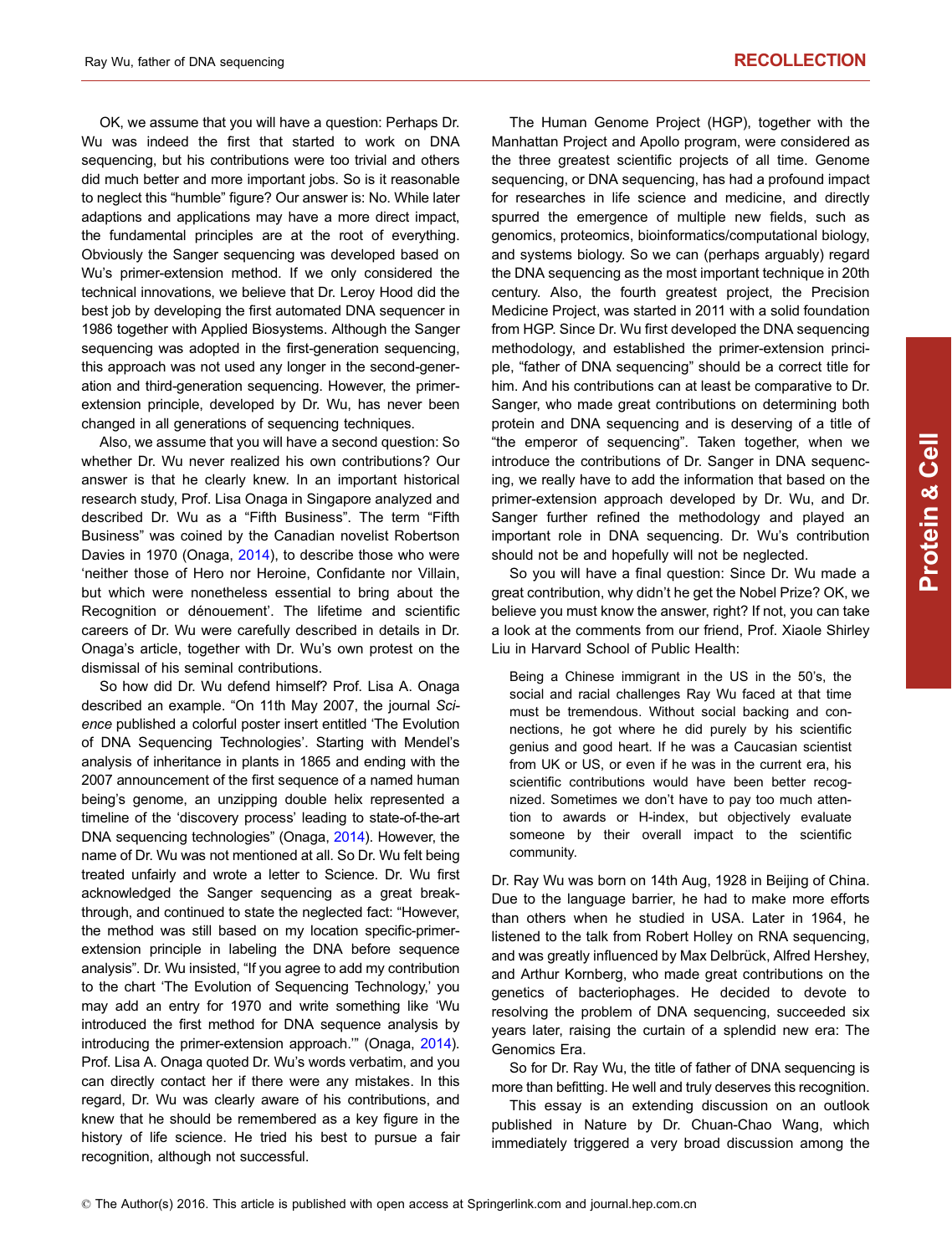OK, we assume that you will have a question: Perhaps Dr. Wu was indeed the first that started to work on DNA sequencing, but his contributions were too trivial and others did much better and more important jobs. So is it reasonable to neglect this "humble" figure? Our answer is: No. While later adaptions and applications may have a more direct impact, the fundamental principles are at the root of everything. Obviously the Sanger sequencing was developed based on Wu's primer-extension method. If we only considered the technical innovations, we believe that Dr. Leroy Hood did the best job by developing the first automated DNA sequencer in 1986 together with Applied Biosystems. Although the Sanger sequencing was adopted in the first-generation sequencing, this approach was not used any longer in the second-generation and third-generation sequencing. However, the primerextension principle, developed by Dr. Wu, has never been changed in all generations of sequencing techniques.

Also, we assume that you will have a second question: So whether Dr. Wu never realized his own contributions? Our answer is that he clearly knew. In an important historical research study, Prof. Lisa Onaga in Singapore analyzed and described Dr. Wu as a "Fifth Business". The term "Fifth Business" was coined by the Canadian novelist Robertson Davies in 1970 (Onaga, [2014\)](#page-3-0), to describe those who were 'neither those of Hero nor Heroine, Confidante nor Villain, but which were nonetheless essential to bring about the Recognition or dénouement'. The lifetime and scientific careers of Dr. Wu were carefully described in details in Dr. Onaga's article, together with Dr. Wu's own protest on the dismissal of his seminal contributions.

So how did Dr. Wu defend himself? Prof. Lisa A. Onaga described an example. "On 11th May 2007, the journal Science published a colorful poster insert entitled 'The Evolution of DNA Sequencing Technologies'. Starting with Mendel's analysis of inheritance in plants in 1865 and ending with the 2007 announcement of the first sequence of a named human being's genome, an unzipping double helix represented a timeline of the 'discovery process' leading to state-of-the-art DNA sequencing technologies" (Onaga, [2014](#page-3-0)). However, the name of Dr. Wu was not mentioned at all. So Dr. Wu felt being treated unfairly and wrote a letter to Science. Dr. Wu first acknowledged the Sanger sequencing as a great breakthrough, and continued to state the neglected fact: "However, the method was still based on my location specific-primerextension principle in labeling the DNA before sequence analysis". Dr. Wu insisted, "If you agree to add my contribution to the chart 'The Evolution of Sequencing Technology,' you may add an entry for 1970 and write something like 'Wu introduced the first method for DNA sequence analysis by introducing the primer-extension approach.'" (Onaga, [2014\)](#page-3-0). Prof. Lisa A. Onaga quoted Dr. Wu's words verbatim, and you can directly contact her if there were any mistakes. In this regard, Dr. Wu was clearly aware of his contributions, and knew that he should be remembered as a key figure in the history of life science. He tried his best to pursue a fair recognition, although not successful.

The Human Genome Project (HGP), together with the Manhattan Project and Apollo program, were considered as the three greatest scientific projects of all time. Genome sequencing, or DNA sequencing, has had a profound impact for researches in life science and medicine, and directly spurred the emergence of multiple new fields, such as genomics, proteomics, bioinformatics/computational biology, and systems biology. So we can (perhaps arguably) regard the DNA sequencing as the most important technique in 20th century. Also, the fourth greatest project, the Precision Medicine Project, was started in 2011 with a solid foundation from HGP. Since Dr. Wu first developed the DNA sequencing methodology, and established the primer-extension principle, "father of DNA sequencing" should be a correct title for him. And his contributions can at least be comparative to Dr. Sanger, who made great contributions on determining both protein and DNA sequencing and is deserving of a title of "the emperor of sequencing". Taken together, when we introduce the contributions of Dr. Sanger in DNA sequencing, we really have to add the information that based on the primer-extension approach developed by Dr. Wu, and Dr. Sanger further refined the methodology and played an important role in DNA sequencing. Dr. Wu's contribution should not be and hopefully will not be neglected.

So you will have a final question: Since Dr. Wu made a great contribution, why didn't he get the Nobel Prize? OK, we believe you must know the answer, right? If not, you can take a look at the comments from our friend, Prof. Xiaole Shirley Liu in Harvard School of Public Health:

Being a Chinese immigrant in the US in the 50's, the social and racial challenges Ray Wu faced at that time must be tremendous. Without social backing and connections, he got where he did purely by his scientific genius and good heart. If he was a Caucasian scientist from UK or US, or even if he was in the current era, his scientific contributions would have been better recognized. Sometimes we don't have to pay too much attention to awards or H-index, but objectively evaluate someone by their overall impact to the scientific community.

Dr. Ray Wu was born on 14th Aug, 1928 in Beijing of China. Due to the language barrier, he had to make more efforts than others when he studied in USA. Later in 1964, he listened to the talk from Robert Holley on RNA sequencing, and was greatly influenced by Max Delbrück, Alfred Hershey, and Arthur Kornberg, who made great contributions on the genetics of bacteriophages. He decided to devote to resolving the problem of DNA sequencing, succeeded six years later, raising the curtain of a splendid new era: The Genomics Era.

So for Dr. Ray Wu, the title of father of DNA sequencing is more than befitting. He well and truly deserves this recognition.

This essay is an extending discussion on an outlook published in Nature by Dr. Chuan-Chao Wang, which immediately triggered a very broad discussion among the Protein

& Cell